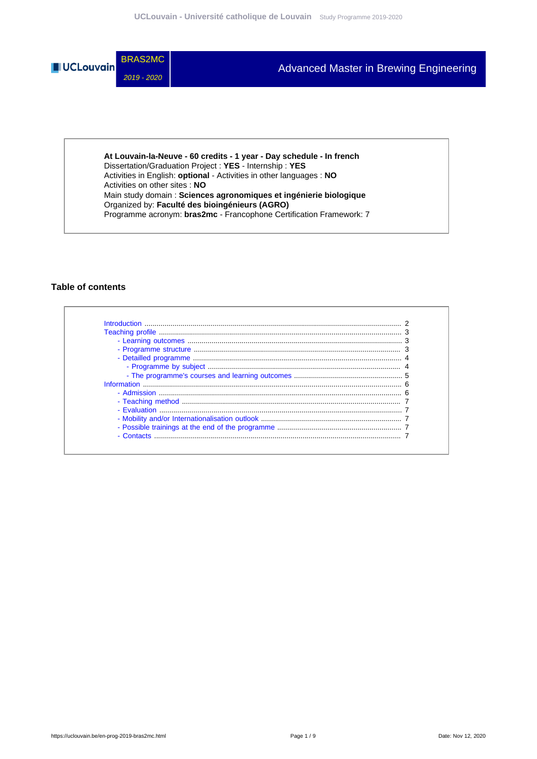

**At Louvain-la-Neuve - 60 credits - 1 year - Day schedule - In french** Dissertation/Graduation Project : **YES** - Internship : **YES** Activities in English: **optional** - Activities in other languages : **NO** Activities on other sites : **NO** Main study domain : **Sciences agronomiques et ingénierie biologique** Organized by: **Faculté des bioingénieurs (AGRO)** Programme acronym: **bras2mc** - Francophone Certification Framework: 7

#### **Table of contents**

| - Admission     |  |
|-----------------|--|
|                 |  |
|                 |  |
|                 |  |
|                 |  |
| $\sim$ Contacts |  |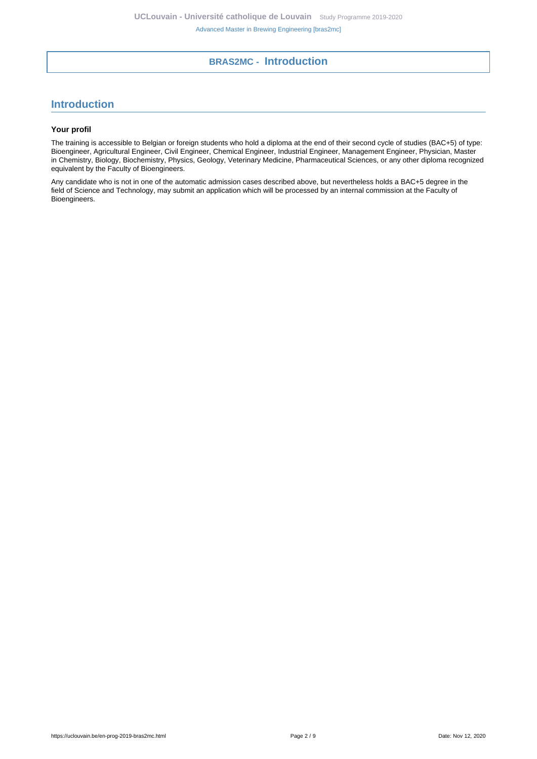## **BRAS2MC - Introduction**

## <span id="page-1-0"></span>**Introduction**

#### **Your profil**

The training is accessible to Belgian or foreign students who hold a diploma at the end of their second cycle of studies (BAC+5) of type: Bioengineer, Agricultural Engineer, Civil Engineer, Chemical Engineer, Industrial Engineer, Management Engineer, Physician, Master in Chemistry, Biology, Biochemistry, Physics, Geology, Veterinary Medicine, Pharmaceutical Sciences, or any other diploma recognized equivalent by the Faculty of Bioengineers.

Any candidate who is not in one of the automatic admission cases described above, but nevertheless holds a BAC+5 degree in the field of Science and Technology, may submit an application which will be processed by an internal commission at the Faculty of Bioengineers.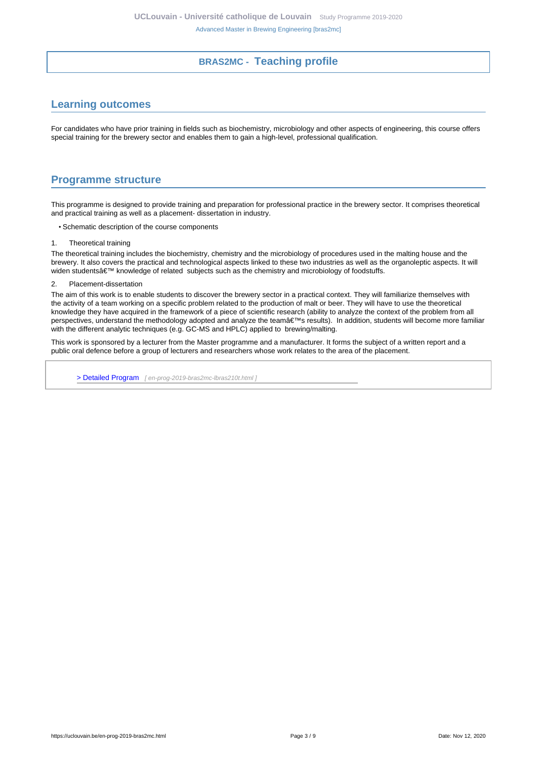## **BRAS2MC - Teaching profile**

## <span id="page-2-1"></span><span id="page-2-0"></span>**Learning outcomes**

For candidates who have prior training in fields such as biochemistry, microbiology and other aspects of engineering, this course offers special training for the brewery sector and enables them to gain a high-level, professional qualification.

### <span id="page-2-2"></span>**Programme structure**

This programme is designed to provide training and preparation for professional practice in the brewery sector. It comprises theoretical and practical training as well as a placement- dissertation in industry.

- Schematic description of the course components
- 1. Theoretical training

The theoretical training includes the biochemistry, chemistry and the microbiology of procedures used in the malting house and the brewery. It also covers the practical and technological aspects linked to these two industries as well as the organoleptic aspects. It will widen students' knowledge of related subjects such as the chemistry and microbiology of foodstuffs.

2. Placement-dissertation

The aim of this work is to enable students to discover the brewery sector in a practical context. They will familiarize themselves with the activity of a team working on a specific problem related to the production of malt or beer. They will have to use the theoretical knowledge they have acquired in the framework of a piece of scientific research (ability to analyze the context of the problem from all perspectives, understand the methodology adopted and analyze the team's results). In addition, students will become more familiar with the different analytic techniques (e.g. GC-MS and HPLC) applied to brewing/malting.

This work is sponsored by a lecturer from the Master programme and a manufacturer. It forms the subject of a written report and a public oral defence before a group of lecturers and researchers whose work relates to the area of the placement.

[> Detailed Program](en-prog-2019-bras2mc-lbras210t.html) [ en-prog-2019-bras2mc-lbras210t.html]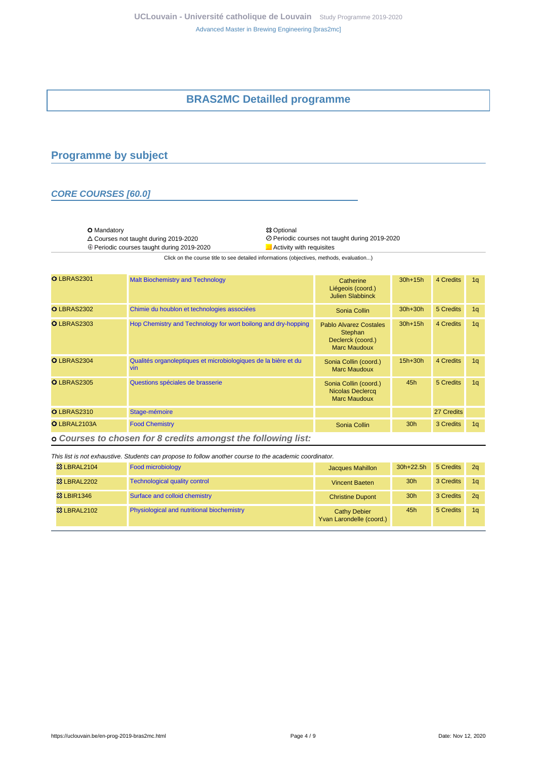## **BRAS2MC Detailled programme**

## <span id="page-3-1"></span><span id="page-3-0"></span>**Programme by subject**

### **CORE COURSES [60.0]**

O Mandatory 2019-2020<br>
△ Courses not taught during 2019-2020 20 Deriodic

 $\oplus$  Periodic courses taught during 2019-2020

Courses not taught during 2019-2020 Periodic courses not taught during 2019-2020

Click on the course title to see detailed informations (objectives, methods, evaluation...)

| O LBRAS2301       | <b>Malt Biochemistry and Technology</b>                                      | Catherine<br>Liégeois (coord.)<br><b>Julien Slabbinck</b>                     | $30h+15h$       | 4 Credits  | 1 <sub>q</sub> |
|-------------------|------------------------------------------------------------------------------|-------------------------------------------------------------------------------|-----------------|------------|----------------|
| O LBRAS2302       | Chimie du houblon et technologies associées                                  | Sonia Collin                                                                  | $30h+30h$       | 5 Credits  | 1q             |
| <b>OLBRAS2303</b> | Hop Chemistry and Technology for wort boilong and dry-hopping                | Pablo Alvarez Costales<br>Stephan<br>Declerck (coord.)<br><b>Marc Maudoux</b> | $30h+15h$       | 4 Credits  | 1q             |
| O LBRAS2304       | Qualités organoleptiques et microbiologiques de la bière et du<br><b>vin</b> | Sonia Collin (coord.)<br>Marc Maudoux                                         | $15h+30h$       | 4 Credits  | 1q             |
| <b>OLBRAS2305</b> | Questions spéciales de brasserie                                             | Sonia Collin (coord.)<br><b>Nicolas Declercq</b><br>Marc Maudoux              | 45h             | 5 Credits  | 1 <sub>q</sub> |
| <b>OLBRAS2310</b> | Stage-mémoire                                                                |                                                                               |                 | 27 Credits |                |
| O LBRAL2103A      | <b>Food Chemistry</b>                                                        | Sonia Collin                                                                  | 30 <sub>h</sub> | 3 Credits  | 1 <sub>q</sub> |

 **Courses to chosen for 8 credits amongst the following list:**

| This list is not exhaustive. Students can propose to follow another course to the academic coordinator. |                                            |                                                 |                 |           |                |
|---------------------------------------------------------------------------------------------------------|--------------------------------------------|-------------------------------------------------|-----------------|-----------|----------------|
| <b>&amp; LBRAL2104</b>                                                                                  | <b>Food microbiology</b>                   | <b>Jacques Mahillon</b>                         | $30h+22.5h$     | 5 Credits | 2 <sub>a</sub> |
| <b>&amp; LBRAL2202</b>                                                                                  | <b>Technological quality control</b>       | <b>Vincent Baeten</b>                           | 30 <sub>h</sub> | 3 Credits | 1a             |
| <b>83 LBIR1346</b>                                                                                      | Surface and colloid chemistry              | <b>Christine Dupont</b>                         | 30 <sub>h</sub> | 3 Credits | 2 <sub>a</sub> |
| <b>&amp; LBRAL2102</b>                                                                                  | Physiological and nutritional biochemistry | <b>Cathy Debier</b><br>Yvan Larondelle (coord.) | 45h             | 5 Credits | 1a             |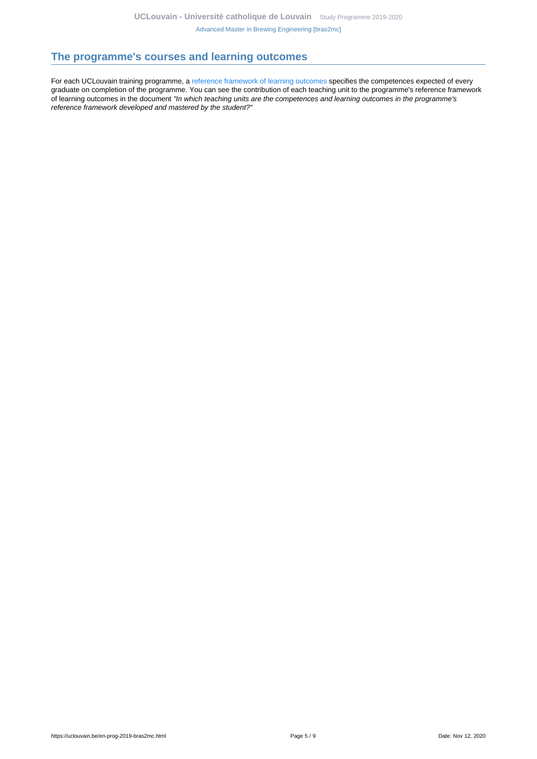## <span id="page-4-0"></span>**The programme's courses and learning outcomes**

For each UCLouvain training programme, a [reference framework of learning outcomes](https://uclouvain.be/en-prog-2019-bras2mc-competences_et_acquis.html) specifies the competences expected of every graduate on completion of the programme. You can see the contribution of each teaching unit to the programme's reference framework of learning outcomes in the document "In which teaching units are the competences and learning outcomes in the programme's reference framework developed and mastered by the student?"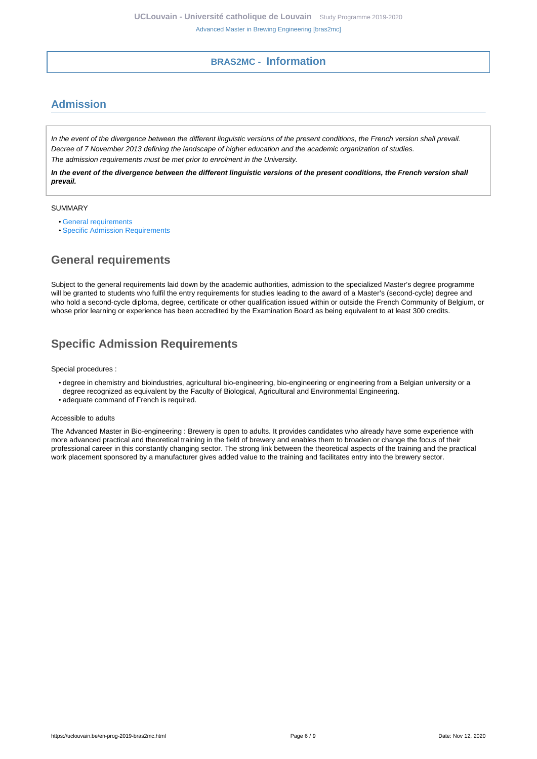## **BRAS2MC - Information**

# <span id="page-5-1"></span><span id="page-5-0"></span>**Admission**

In the event of the divergence between the different linguistic versions of the present conditions, the French version shall prevail. Decree of 7 November 2013 defining the landscape of higher education and the academic organization of studies. The admission requirements must be met prior to enrolment in the University.

**In the event of the divergence between the different linguistic versions of the present conditions, the French version shall prevail.**

#### SUMMARY

- [General requirements](#page-5-2)
- [Specific Admission Requirements](#page-5-3)

# <span id="page-5-2"></span>**General requirements**

Subject to the general requirements laid down by the academic authorities, admission to the specialized Master's degree programme will be granted to students who fulfil the entry requirements for studies leading to the award of a Master's (second-cycle) degree and who hold a second-cycle diploma, degree, certificate or other qualification issued within or outside the French Community of Belgium, or whose prior learning or experience has been accredited by the Examination Board as being equivalent to at least 300 credits.

# <span id="page-5-3"></span>**Specific Admission Requirements**

Special procedures :

- degree in chemistry and bioindustries, agricultural bio-engineering, bio-engineering or engineering from a Belgian university or a degree recognized as equivalent by the Faculty of Biological, Agricultural and Environmental Engineering.
- adequate command of French is required.

#### Accessible to adults

The Advanced Master in Bio-engineering : Brewery is open to adults. It provides candidates who already have some experience with more advanced practical and theoretical training in the field of brewery and enables them to broaden or change the focus of their professional career in this constantly changing sector. The strong link between the theoretical aspects of the training and the practical work placement sponsored by a manufacturer gives added value to the training and facilitates entry into the brewery sector.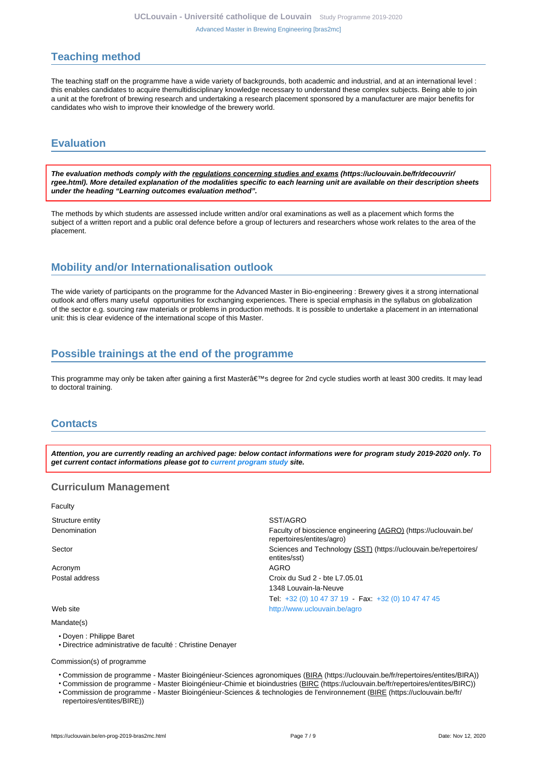## <span id="page-6-0"></span>**Teaching method**

The teaching staff on the programme have a wide variety of backgrounds, both academic and industrial, and at an international level : this enables candidates to acquire themultidisciplinary knowledge necessary to understand these complex subjects. Being able to join a unit at the forefront of brewing research and undertaking a research placement sponsored by a manufacturer are major benefits for candidates who wish to improve their knowledge of the brewery world.

## <span id="page-6-1"></span>**Evaluation**

**The evaluation methods comply with the regulations concerning studies and exams (https://uclouvain.be/fr/decouvrir/ rgee.html). More detailed explanation of the modalities specific to each learning unit are available on their description sheets under the heading "Learning outcomes evaluation method".**

The methods by which students are assessed include written and/or oral examinations as well as a placement which forms the subject of a written report and a public oral defence before a group of lecturers and researchers whose work relates to the area of the placement.

## <span id="page-6-2"></span>**Mobility and/or Internationalisation outlook**

The wide variety of participants on the programme for the Advanced Master in Bio-engineering : Brewery gives it a strong international outlook and offers many useful opportunities for exchanging experiences. There is special emphasis in the syllabus on globalization of the sector e.g. sourcing raw materials or problems in production methods. It is possible to undertake a placement in an international unit: this is clear evidence of the international scope of this Master.

## <span id="page-6-3"></span>**Possible trainings at the end of the programme**

This programme may only be taken after gaining a first Master's degree for 2nd cycle studies worth at least 300 credits. It may lead to doctoral training.

## <span id="page-6-4"></span>**Contacts**

**Attention, you are currently reading an archived page: below contact informations were for program study 2019-2020 only. To get current contact informations please got to [current program study](https://uclouvain.be/fr/catalogue-formations) site.**

### **Curriculum Management**

| Faculty          |                                                                                              |
|------------------|----------------------------------------------------------------------------------------------|
| Structure entity | SST/AGRO                                                                                     |
| Denomination     | Faculty of bioscience engineering (AGRO) (https://uclouvain.be/<br>repertoires/entites/agro) |
| Sector           | Sciences and Technology (SST) (https://uclouvain.be/repertoires/<br>entites/sst)             |
| Acronym          | AGRO                                                                                         |
| Postal address   | Croix du Sud 2 - bte L7.05.01                                                                |
|                  | 1348 Louvain-la-Neuve                                                                        |
|                  | Tel: $+32$ (0) 10 47 37 19 - Fax: $+32$ (0) 10 47 47 45                                      |
| Web site         | http://www.uclouvain.be/agro                                                                 |
| Mandate(s)       |                                                                                              |

- Doyen : Philippe Baret
- Directrice administrative de faculté : Christine Denayer

Commission(s) of programme

- Commission de programme Master Bioingénieur-Sciences agronomiques (BIRA (https://uclouvain.be/fr/repertoires/entites/BIRA))
- Commission de programme Master Bioingénieur-Chimie et bioindustries (BIRC (https://uclouvain.be/fr/repertoires/entites/BIRC))
- Commission de programme Master Bioingénieur-Sciences & technologies de l'environnement (BIRE (https://uclouvain.be/fr/ repertoires/entites/BIRE))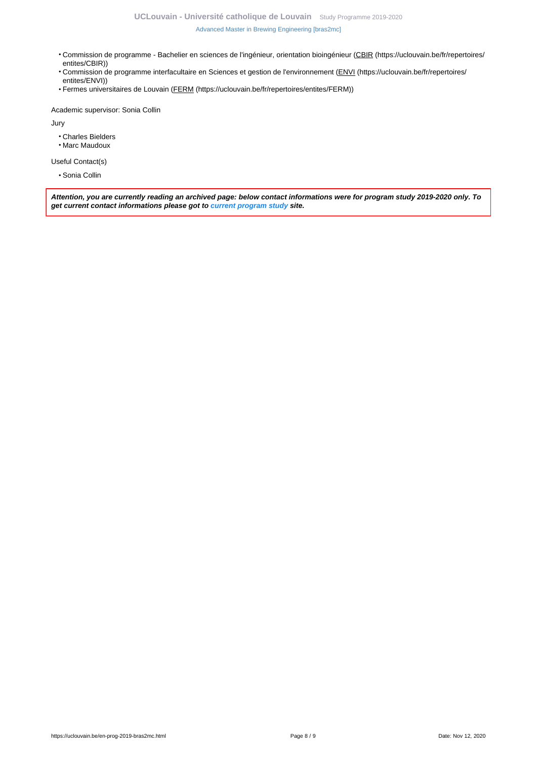- Commission de programme Bachelier en sciences de l'ingénieur, orientation bioingénieur (CBIR (https://uclouvain.be/fr/repertoires/ entites/CBIR))
- Commission de programme interfacultaire en Sciences et gestion de l'environnement (ENVI (https://uclouvain.be/fr/repertoires/ entites/ENVI))
- Fermes universitaires de Louvain (FERM (https://uclouvain.be/fr/repertoires/entites/FERM))

Academic supervisor: Sonia Collin

Jury

- Charles Bielders
- Marc Maudoux

Useful Contact(s)

• Sonia Collin

**Attention, you are currently reading an archived page: below contact informations were for program study 2019-2020 only. To get current contact informations please got to [current program study](https://uclouvain.be/fr/catalogue-formations) site.**